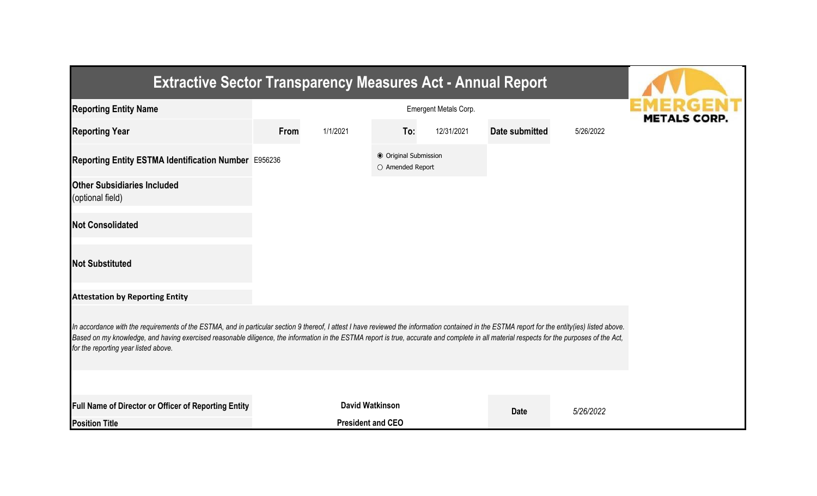| <b>Extractive Sector Transparency Measures Act - Annual Report</b>                                                                                                                                                                                                                                                                                                                                                                    |      |                          |                                           |            |                |           |  |
|---------------------------------------------------------------------------------------------------------------------------------------------------------------------------------------------------------------------------------------------------------------------------------------------------------------------------------------------------------------------------------------------------------------------------------------|------|--------------------------|-------------------------------------------|------------|----------------|-----------|--|
| <b>Reporting Entity Name</b>                                                                                                                                                                                                                                                                                                                                                                                                          |      | <b>METALS CORP</b>       |                                           |            |                |           |  |
| <b>Reporting Year</b>                                                                                                                                                                                                                                                                                                                                                                                                                 | From | 1/1/2021                 | To:                                       | 12/31/2021 | Date submitted | 5/26/2022 |  |
| Reporting Entity ESTMA Identification Number E956236                                                                                                                                                                                                                                                                                                                                                                                  |      |                          | ● Original Submission<br>O Amended Report |            |                |           |  |
| <b>Other Subsidiaries Included</b><br>(optional field)                                                                                                                                                                                                                                                                                                                                                                                |      |                          |                                           |            |                |           |  |
| <b>Not Consolidated</b>                                                                                                                                                                                                                                                                                                                                                                                                               |      |                          |                                           |            |                |           |  |
| <b>Not Substituted</b>                                                                                                                                                                                                                                                                                                                                                                                                                |      |                          |                                           |            |                |           |  |
| <b>Attestation by Reporting Entity</b>                                                                                                                                                                                                                                                                                                                                                                                                |      |                          |                                           |            |                |           |  |
| In accordance with the requirements of the ESTMA, and in particular section 9 thereof, I attest I have reviewed the information contained in the ESTMA report for the entity(ies) listed above.<br>Based on my knowledge, and having exercised reasonable diligence, the information in the ESTMA report is true, accurate and complete in all material respects for the purposes of the Act,<br>for the reporting year listed above. |      |                          |                                           |            |                |           |  |
|                                                                                                                                                                                                                                                                                                                                                                                                                                       |      |                          |                                           |            |                |           |  |
| Full Name of Director or Officer of Reporting Entity                                                                                                                                                                                                                                                                                                                                                                                  |      |                          | <b>David Watkinson</b>                    |            | <b>Date</b>    | 5/26/2022 |  |
| <b>Position Title</b>                                                                                                                                                                                                                                                                                                                                                                                                                 |      | <b>President and CEO</b> |                                           |            |                |           |  |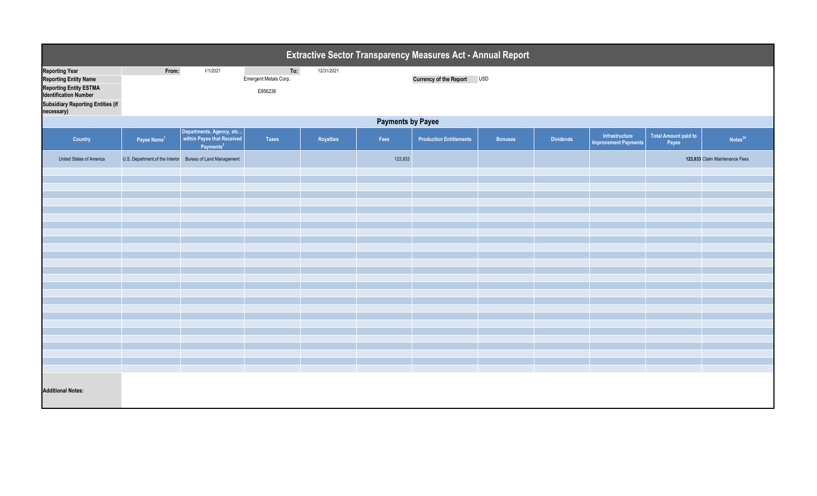| To:<br><b>Reporting Year</b><br>From:<br>1/1/2021<br>12/31/2021<br>Currency of the Report USD<br><b>Reporting Entity Name</b><br>Emergent Metals Corp.<br><b>Reporting Entity ESTMA</b><br>E956236<br><b>Identification Number</b><br><b>Subsidiary Reporting Entities (if</b><br>necessary)<br><b>Payments by Payee</b><br>Departments, Agency, etc<br>within Payee that Received<br><b>Total Amount paid to</b><br>Infrastructure<br>Royalties<br><b>Dividends</b><br>Country<br>Payee Name <sup>1</sup><br><b>Taxes</b><br>Fees<br><b>Production Entitlements</b><br><b>Bonuses</b><br>Payee<br><b>Improvement Payments</b><br>Payments <sup>2</sup><br>U.S. Department of the Interior Bureau of Land Management<br>123,933<br>123,933 Claim Maintenance Fees<br>United States of America | Extractive Sector Transparency Measures Act - Annual Report |  |  |  |  |  |  |  |  |  |  |                     |  |
|-----------------------------------------------------------------------------------------------------------------------------------------------------------------------------------------------------------------------------------------------------------------------------------------------------------------------------------------------------------------------------------------------------------------------------------------------------------------------------------------------------------------------------------------------------------------------------------------------------------------------------------------------------------------------------------------------------------------------------------------------------------------------------------------------|-------------------------------------------------------------|--|--|--|--|--|--|--|--|--|--|---------------------|--|
|                                                                                                                                                                                                                                                                                                                                                                                                                                                                                                                                                                                                                                                                                                                                                                                               |                                                             |  |  |  |  |  |  |  |  |  |  |                     |  |
|                                                                                                                                                                                                                                                                                                                                                                                                                                                                                                                                                                                                                                                                                                                                                                                               |                                                             |  |  |  |  |  |  |  |  |  |  |                     |  |
|                                                                                                                                                                                                                                                                                                                                                                                                                                                                                                                                                                                                                                                                                                                                                                                               |                                                             |  |  |  |  |  |  |  |  |  |  | Notes <sup>34</sup> |  |
|                                                                                                                                                                                                                                                                                                                                                                                                                                                                                                                                                                                                                                                                                                                                                                                               |                                                             |  |  |  |  |  |  |  |  |  |  |                     |  |
|                                                                                                                                                                                                                                                                                                                                                                                                                                                                                                                                                                                                                                                                                                                                                                                               |                                                             |  |  |  |  |  |  |  |  |  |  |                     |  |
|                                                                                                                                                                                                                                                                                                                                                                                                                                                                                                                                                                                                                                                                                                                                                                                               |                                                             |  |  |  |  |  |  |  |  |  |  |                     |  |
|                                                                                                                                                                                                                                                                                                                                                                                                                                                                                                                                                                                                                                                                                                                                                                                               |                                                             |  |  |  |  |  |  |  |  |  |  |                     |  |
|                                                                                                                                                                                                                                                                                                                                                                                                                                                                                                                                                                                                                                                                                                                                                                                               |                                                             |  |  |  |  |  |  |  |  |  |  |                     |  |
|                                                                                                                                                                                                                                                                                                                                                                                                                                                                                                                                                                                                                                                                                                                                                                                               |                                                             |  |  |  |  |  |  |  |  |  |  |                     |  |
|                                                                                                                                                                                                                                                                                                                                                                                                                                                                                                                                                                                                                                                                                                                                                                                               |                                                             |  |  |  |  |  |  |  |  |  |  |                     |  |
|                                                                                                                                                                                                                                                                                                                                                                                                                                                                                                                                                                                                                                                                                                                                                                                               |                                                             |  |  |  |  |  |  |  |  |  |  |                     |  |
|                                                                                                                                                                                                                                                                                                                                                                                                                                                                                                                                                                                                                                                                                                                                                                                               |                                                             |  |  |  |  |  |  |  |  |  |  |                     |  |
|                                                                                                                                                                                                                                                                                                                                                                                                                                                                                                                                                                                                                                                                                                                                                                                               |                                                             |  |  |  |  |  |  |  |  |  |  |                     |  |
|                                                                                                                                                                                                                                                                                                                                                                                                                                                                                                                                                                                                                                                                                                                                                                                               |                                                             |  |  |  |  |  |  |  |  |  |  |                     |  |
|                                                                                                                                                                                                                                                                                                                                                                                                                                                                                                                                                                                                                                                                                                                                                                                               |                                                             |  |  |  |  |  |  |  |  |  |  |                     |  |
|                                                                                                                                                                                                                                                                                                                                                                                                                                                                                                                                                                                                                                                                                                                                                                                               |                                                             |  |  |  |  |  |  |  |  |  |  |                     |  |
|                                                                                                                                                                                                                                                                                                                                                                                                                                                                                                                                                                                                                                                                                                                                                                                               |                                                             |  |  |  |  |  |  |  |  |  |  |                     |  |
|                                                                                                                                                                                                                                                                                                                                                                                                                                                                                                                                                                                                                                                                                                                                                                                               |                                                             |  |  |  |  |  |  |  |  |  |  |                     |  |
|                                                                                                                                                                                                                                                                                                                                                                                                                                                                                                                                                                                                                                                                                                                                                                                               |                                                             |  |  |  |  |  |  |  |  |  |  |                     |  |
|                                                                                                                                                                                                                                                                                                                                                                                                                                                                                                                                                                                                                                                                                                                                                                                               |                                                             |  |  |  |  |  |  |  |  |  |  |                     |  |
|                                                                                                                                                                                                                                                                                                                                                                                                                                                                                                                                                                                                                                                                                                                                                                                               |                                                             |  |  |  |  |  |  |  |  |  |  |                     |  |
|                                                                                                                                                                                                                                                                                                                                                                                                                                                                                                                                                                                                                                                                                                                                                                                               |                                                             |  |  |  |  |  |  |  |  |  |  |                     |  |
|                                                                                                                                                                                                                                                                                                                                                                                                                                                                                                                                                                                                                                                                                                                                                                                               |                                                             |  |  |  |  |  |  |  |  |  |  |                     |  |
|                                                                                                                                                                                                                                                                                                                                                                                                                                                                                                                                                                                                                                                                                                                                                                                               |                                                             |  |  |  |  |  |  |  |  |  |  |                     |  |
| <b>Additional Notes:</b>                                                                                                                                                                                                                                                                                                                                                                                                                                                                                                                                                                                                                                                                                                                                                                      |                                                             |  |  |  |  |  |  |  |  |  |  |                     |  |